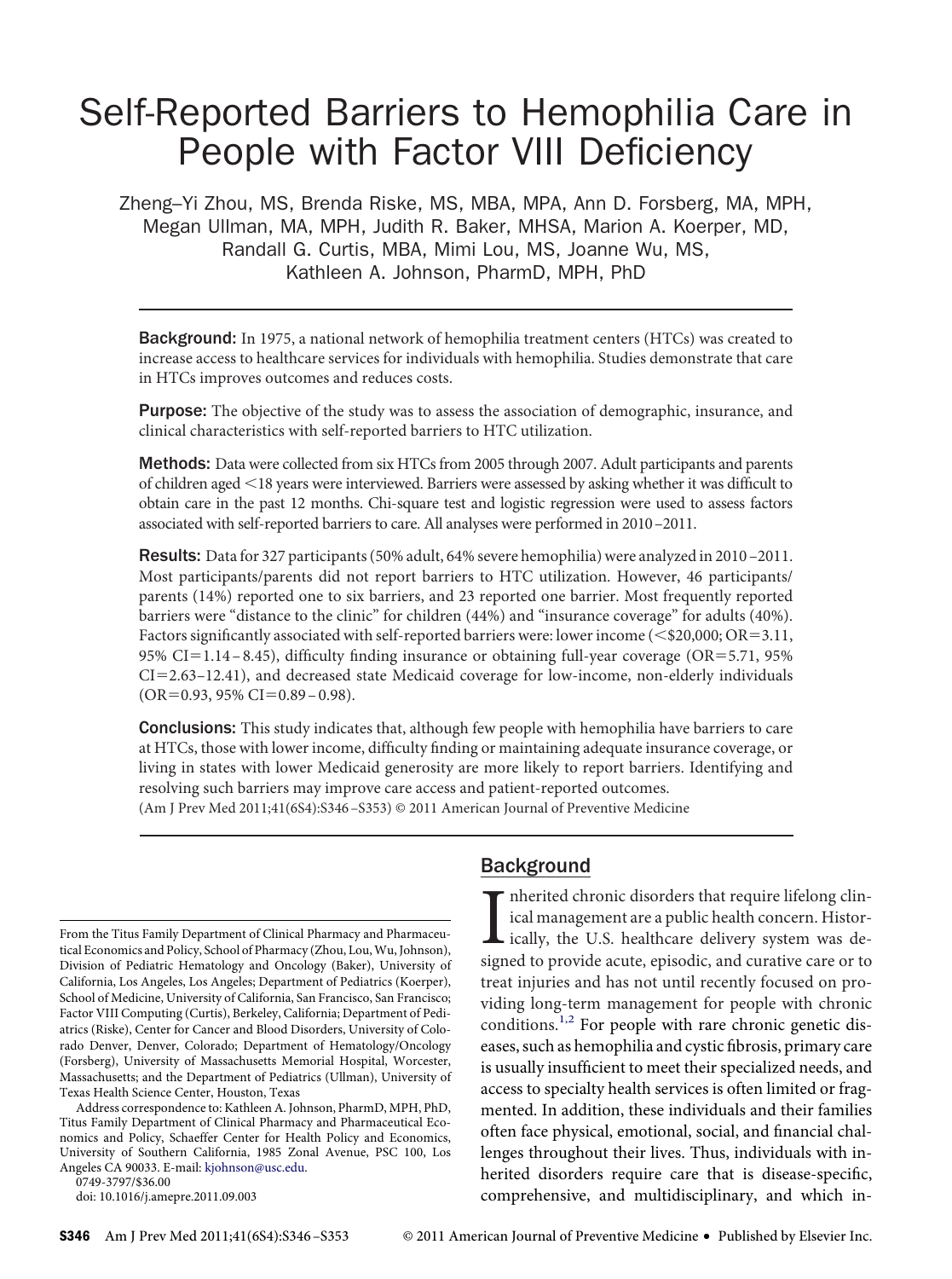# Self-Reported Barriers to Hemophilia Care in People with Factor VIII Deficiency

Zheng–Yi Zhou, MS, Brenda Riske, MS, MBA, MPA, Ann D. Forsberg, MA, MPH, Megan Ullman, MA, MPH, Judith R. Baker, MHSA, Marion A. Koerper, MD, Randall G. Curtis, MBA, Mimi Lou, MS, Joanne Wu, MS, Kathleen A. Johnson, PharmD, MPH, PhD

Background: In 1975, a national network of hemophilia treatment centers (HTCs) was created to increase access to healthcare services for individuals with hemophilia. Studies demonstrate that care in HTCs improves outcomes and reduces costs.

**Purpose:** The objective of the study was to assess the association of demographic, insurance, and clinical characteristics with self-reported barriers to HTC utilization.

**Methods:** Data were collected from six HTCs from 2005 through 2007. Adult participants and parents of children aged 18 years were interviewed. Barriers were assessed by asking whether it was diffıcult to obtain care in the past 12 months. Chi-square test and logistic regression were used to assess factors associated with self-reported barriers to care. All analyses were performed in 2010–2011.

Results: Data for 327 participants (50% adult, 64% severe hemophilia) were analyzed in 2010-2011. Most participants/parents did not report barriers to HTC utilization. However, 46 participants/ parents (14%) reported one to six barriers, and 23 reported one barrier. Most frequently reported barriers were "distance to the clinic" for children (44%) and "insurance coverage" for adults (40%). Factors significantly associated with self-reported barriers were: lower income ( $\leq$  \$20,000; OR=3.11, 95% CI=1.14-8.45), difficulty finding insurance or obtaining full-year coverage (OR=5.71, 95% CI=2.63-12.41), and decreased state Medicaid coverage for low-income, non-elderly individuals  $(OR=0.93, 95\% CI=0.89-0.98).$ 

**Conclusions:** This study indicates that, although few people with hemophilia have barriers to care at HTCs, those with lower income, diffıculty fınding or maintaining adequate insurance coverage, or living in states with lower Medicaid generosity are more likely to report barriers. Identifying and resolving such barriers may improve care access and patient-reported outcomes.

(Am J Prev Med 2011;41(6S4):S346 –S353) © 2011 American Journal of Preventive Medicine

From the Titus Family Department of Clinical Pharmacy and Pharmaceutical Economics and Policy, School of Pharmacy (Zhou, Lou, Wu, Johnson), Division of Pediatric Hematology and Oncology (Baker), University of California, Los Angeles, Los Angeles; Department of Pediatrics (Koerper), School of Medicine, University of California, San Francisco, San Francisco; Factor VIII Computing (Curtis), Berkeley, California; Department of Pediatrics (Riske), Center for Cancer and Blood Disorders, University of Colorado Denver, Denver, Colorado; Department of Hematology/Oncology (Forsberg), University of Massachusetts Memorial Hospital, Worcester, Massachusetts; and the Department of Pediatrics (Ullman), University of Texas Health Science Center, Houston, Texas

Address correspondence to: Kathleen A. Johnson, PharmD, MPH, PhD, Titus Family Department of Clinical Pharmacy and Pharmaceutical Economics and Policy, Schaeffer Center for Health Policy and Economics, University of Southern California, 1985 Zonal Avenue, PSC 100, Los Angeles CA 90033. E-mail: [kjohnson@usc.edu.](mailto:kjohnson@usc.edu)

0749-3797/\$36.00

doi: 10.1016/j.amepre.2011.09.003

## Background

I nherited chronic disorders that require lifelong clinical management are a public health concern. Historically, the U.S. healthcare delivery system was designed to provide acute, episodic, and curative care or to ical management are a public health concern. Historically, the U.S. healthcare delivery system was designed to provide acute, episodic, and curative care or to treat injuries and has not until recently focused on providing long-term management for people with chronic conditions.[1,2](#page-7-0) For people with rare chronic genetic diseases, such as hemophilia and cystic fıbrosis, primary care is usually insuffıcient to meet their specialized needs, and access to specialty health services is often limited or fragmented. In addition, these individuals and their families often face physical, emotional, social, and fınancial challenges throughout their lives. Thus, individuals with inherited disorders require care that is disease-specifıc, comprehensive, and multidisciplinary, and which in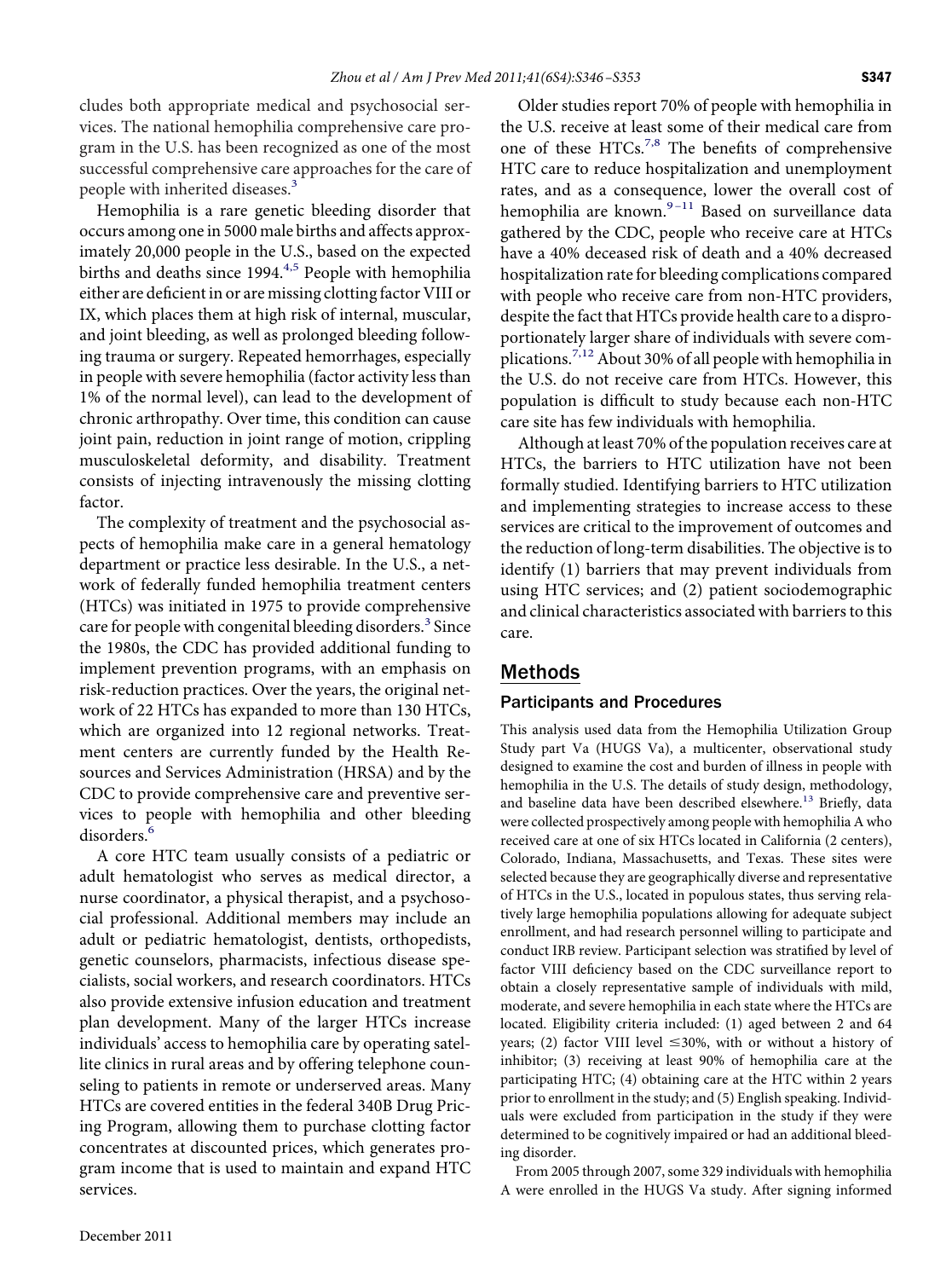cludes both appropriate medical and psychosocial services. The national hemophilia comprehensive care program in the U.S. has been recognized as one of the most successful comprehensive care approaches for the care of people with inherited diseases.<sup>[3](#page-7-1)</sup>

Hemophilia is a rare genetic bleeding disorder that occurs among one in 5000 male births and affects approximately 20,000 people in the U.S., based on the expected births and deaths since 1994.<sup>4,5</sup> People with hemophilia either are defıcient in or are missing clotting factor VIII or IX, which places them at high risk of internal, muscular, and joint bleeding, as well as prolonged bleeding following trauma or surgery. Repeated hemorrhages, especially in people with severe hemophilia (factor activity less than 1% of the normal level), can lead to the development of chronic arthropathy. Over time, this condition can cause joint pain, reduction in joint range of motion, crippling musculoskeletal deformity, and disability. Treatment consists of injecting intravenously the missing clotting factor.

The complexity of treatment and the psychosocial aspects of hemophilia make care in a general hematology department or practice less desirable. In the U.S., a network of federally funded hemophilia treatment centers (HTCs) was initiated in 1975 to provide comprehensive care for people with congenital bleeding disorders.<sup>3</sup> Since the 1980s, the CDC has provided additional funding to implement prevention programs, with an emphasis on risk-reduction practices. Over the years, the original network of 22 HTCs has expanded to more than 130 HTCs, which are organized into 12 regional networks. Treatment centers are currently funded by the Health Resources and Services Administration (HRSA) and by the CDC to provide comprehensive care and preventive services to people with hemophilia and other bleeding disorders.<sup>[6](#page-7-3)</sup>

A core HTC team usually consists of a pediatric or adult hematologist who serves as medical director, a nurse coordinator, a physical therapist, and a psychosocial professional. Additional members may include an adult or pediatric hematologist, dentists, orthopedists, genetic counselors, pharmacists, infectious disease specialists, social workers, and research coordinators. HTCs also provide extensive infusion education and treatment plan development. Many of the larger HTCs increase individuals' access to hemophilia care by operating satellite clinics in rural areas and by offering telephone counseling to patients in remote or underserved areas. Many HTCs are covered entities in the federal 340B Drug Pricing Program, allowing them to purchase clotting factor concentrates at discounted prices, which generates program income that is used to maintain and expand HTC services.

Older studies report 70% of people with hemophilia in the U.S. receive at least some of their medical care from one of these HTCs.<sup>7,8</sup> The benefits of comprehensive HTC care to reduce hospitalization and unemployment rates, and as a consequence, lower the overall cost of hemophilia are known. $9-11$  Based on surveillance data gathered by the CDC, people who receive care at HTCs have a 40% deceased risk of death and a 40% decreased hospitalization rate for bleeding complications compared with people who receive care from non-HTC providers, despite the fact that HTCs provide health care to a disproportionately larger share of individuals with severe com-plications.<sup>[7,12](#page-7-4)</sup> About 30% of all people with hemophilia in the U.S. do not receive care from HTCs. However, this population is diffıcult to study because each non-HTC care site has few individuals with hemophilia.

Although at least 70% of the population receives care at HTCs, the barriers to HTC utilization have not been formally studied. Identifying barriers to HTC utilization and implementing strategies to increase access to these services are critical to the improvement of outcomes and the reduction of long-term disabilities. The objective is to identify (1) barriers that may prevent individuals from using HTC services; and (2) patient sociodemographic and clinical characteristics associated with barriers to this care.

## Methods

### Participants and Procedures

This analysis used data from the Hemophilia Utilization Group Study part Va (HUGS Va), a multicenter, observational study designed to examine the cost and burden of illness in people with hemophilia in the U.S. The details of study design, methodology, and baseline data have been described elsewhere.<sup>13</sup> Briefly, data were collected prospectively among people with hemophilia A who received care at one of six HTCs located in California (2 centers), Colorado, Indiana, Massachusetts, and Texas. These sites were selected because they are geographically diverse and representative of HTCs in the U.S., located in populous states, thus serving relatively large hemophilia populations allowing for adequate subject enrollment, and had research personnel willing to participate and conduct IRB review. Participant selection was stratifıed by level of factor VIII defıciency based on the CDC surveillance report to obtain a closely representative sample of individuals with mild, moderate, and severe hemophilia in each state where the HTCs are located. Eligibility criteria included: (1) aged between 2 and 64 years; (2) factor VIII level  $\leq 30\%$ , with or without a history of inhibitor; (3) receiving at least 90% of hemophilia care at the participating HTC; (4) obtaining care at the HTC within 2 years prior to enrollment in the study; and (5) English speaking. Individuals were excluded from participation in the study if they were determined to be cognitively impaired or had an additional bleeding disorder.

From 2005 through 2007, some 329 individuals with hemophilia A were enrolled in the HUGS Va study. After signing informed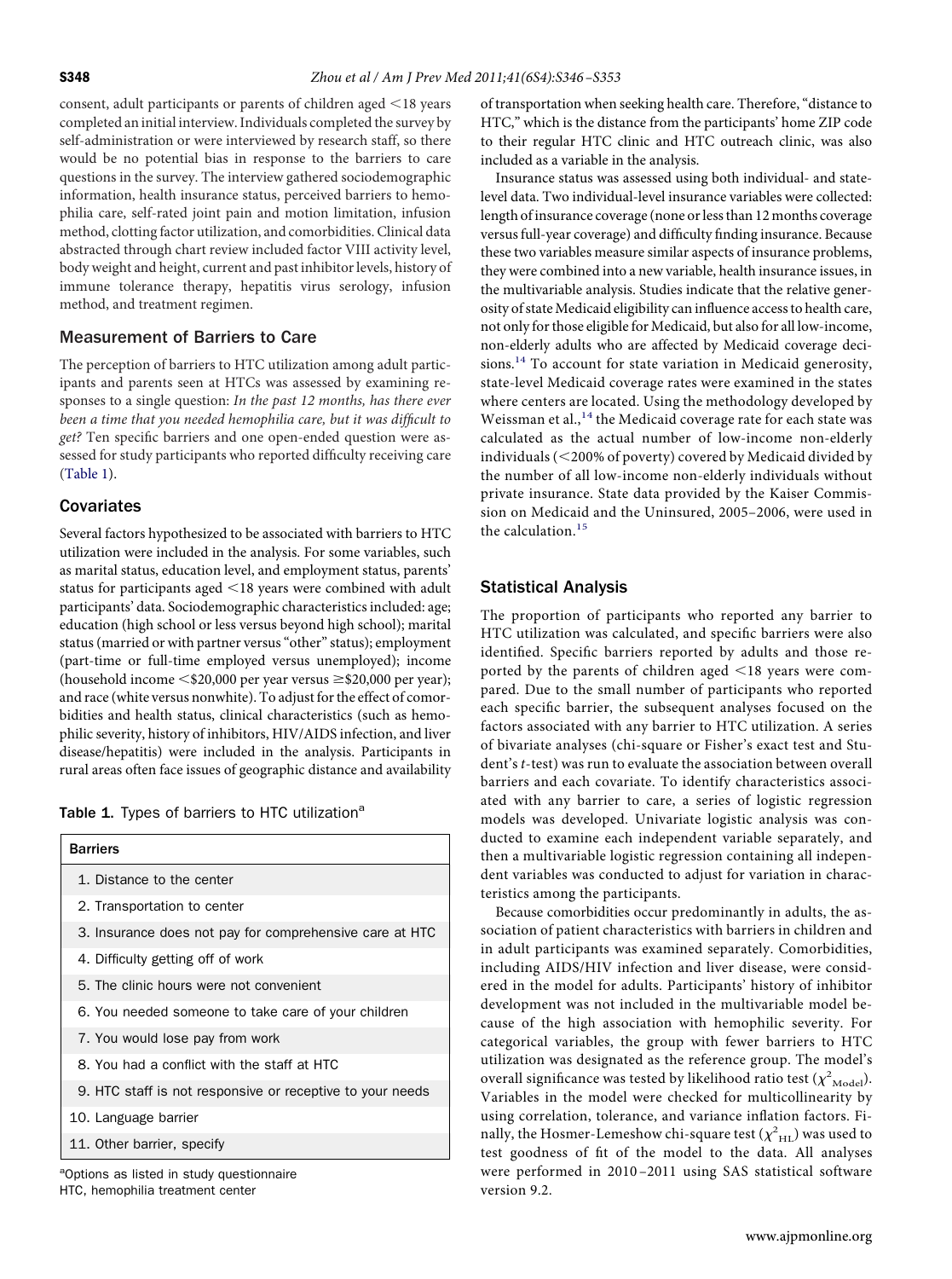consent, adult participants or parents of children aged  $\leq$ 18 years completed an initial interview. Individuals completed the survey by self-administration or were interviewed by research staff, so there would be no potential bias in response to the barriers to care questions in the survey. The interview gathered sociodemographic information, health insurance status, perceived barriers to hemophilia care, self-rated joint pain and motion limitation, infusion method, clotting factor utilization, and comorbidities. Clinical data abstracted through chart review included factor VIII activity level, body weight and height, current and past inhibitor levels, history of immune tolerance therapy, hepatitis virus serology, infusion method, and treatment regimen.

#### Measurement of Barriers to Care

The perception of barriers to HTC utilization among adult participants and parents seen at HTCs was assessed by examining responses to a single question: *In the past 12 months, has there ever been a time that you needed hemophilia care, but it was diffıcult to get?* Ten specifıc barriers and one open-ended question were assessed for study participants who reported diffıculty receiving care [\(Table 1\)](#page-2-0).

#### **Covariates**

Several factors hypothesized to be associated with barriers to HTC utilization were included in the analysis. For some variables, such as marital status, education level, and employment status, parents' status for participants aged  $\leq$ 18 years were combined with adult participants' data. Sociodemographic characteristics included: age; education (high school or less versus beyond high school); marital status (married or with partner versus "other" status); employment (part-time or full-time employed versus unemployed); income (household income <\$20,000 per year versus ≥\$20,000 per year); and race (white versus nonwhite). To adjust for the effect of comorbidities and health status, clinical characteristics (such as hemophilic severity, history of inhibitors, HIV/AIDS infection, and liver disease/hepatitis) were included in the analysis. Participants in rural areas often face issues of geographic distance and availability

<span id="page-2-0"></span>Table 1. Types of barriers to HTC utilization<sup>a</sup>

| <b>Barriers</b>                                           |
|-----------------------------------------------------------|
| 1. Distance to the center                                 |
| 2. Transportation to center                               |
| 3. Insurance does not pay for comprehensive care at HTC   |
| 4. Difficulty getting off of work                         |
| 5. The clinic hours were not convenient                   |
| 6. You needed someone to take care of your children       |
| 7. You would lose pay from work                           |
| 8. You had a conflict with the staff at HTC               |
| 9. HTC staff is not responsive or receptive to your needs |
| 10. Language barrier                                      |
| 11. Other barrier, specify                                |

<sup>a</sup>Options as listed in study questionnaire HTC, hemophilia treatment center

of transportation when seeking health care. Therefore, "distance to HTC," which is the distance from the participants' home ZIP code to their regular HTC clinic and HTC outreach clinic, was also included as a variable in the analysis.

Insurance status was assessed using both individual- and statelevel data. Two individual-level insurance variables were collected: length of insurance coverage (none or less than 12 months coverage versus full-year coverage) and diffıculty fınding insurance. Because these two variables measure similar aspects of insurance problems, they were combined into a new variable, health insurance issues, in the multivariable analysis. Studies indicate that the relative generosity of state Medicaid eligibility can influence access to health care, not only for those eligible for Medicaid, but also for all low-income, non-elderly adults who are affected by Medicaid coverage deci-sions.<sup>[14](#page-7-7)</sup> To account for state variation in Medicaid generosity, state-level Medicaid coverage rates were examined in the states where centers are located. Using the methodology developed by Weissman et al.,<sup>[14](#page-7-7)</sup> the Medicaid coverage rate for each state was calculated as the actual number of low-income non-elderly individuals (200% of poverty) covered by Medicaid divided by the number of all low-income non-elderly individuals without private insurance. State data provided by the Kaiser Commission on Medicaid and the Uninsured, 2005–2006, were used in the calculation. $15$ 

### Statistical Analysis

The proportion of participants who reported any barrier to HTC utilization was calculated, and specifıc barriers were also identifıed. Specifıc barriers reported by adults and those reported by the parents of children aged  $\leq$ 18 years were compared. Due to the small number of participants who reported each specifıc barrier, the subsequent analyses focused on the factors associated with any barrier to HTC utilization. A series of bivariate analyses (chi-square or Fisher's exact test and Student's *t*-test) was run to evaluate the association between overall barriers and each covariate. To identify characteristics associated with any barrier to care, a series of logistic regression models was developed. Univariate logistic analysis was conducted to examine each independent variable separately, and then a multivariable logistic regression containing all independent variables was conducted to adjust for variation in characteristics among the participants.

Because comorbidities occur predominantly in adults, the association of patient characteristics with barriers in children and in adult participants was examined separately. Comorbidities, including AIDS/HIV infection and liver disease, were considered in the model for adults. Participants' history of inhibitor development was not included in the multivariable model because of the high association with hemophilic severity. For categorical variables, the group with fewer barriers to HTC utilization was designated as the reference group. The model's overall significance was tested by likelihood ratio test  $(\chi^2_{\quadtext{Model}})$ . Variables in the model were checked for multicollinearity by using correlation, tolerance, and variance inflation factors. Finally, the Hosmer-Lemeshow chi-square test  $(\chi^2_{\ \rm HL})$  was used to test goodness of fıt of the model to the data. All analyses were performed in 2010 –2011 using SAS statistical software version 9.2.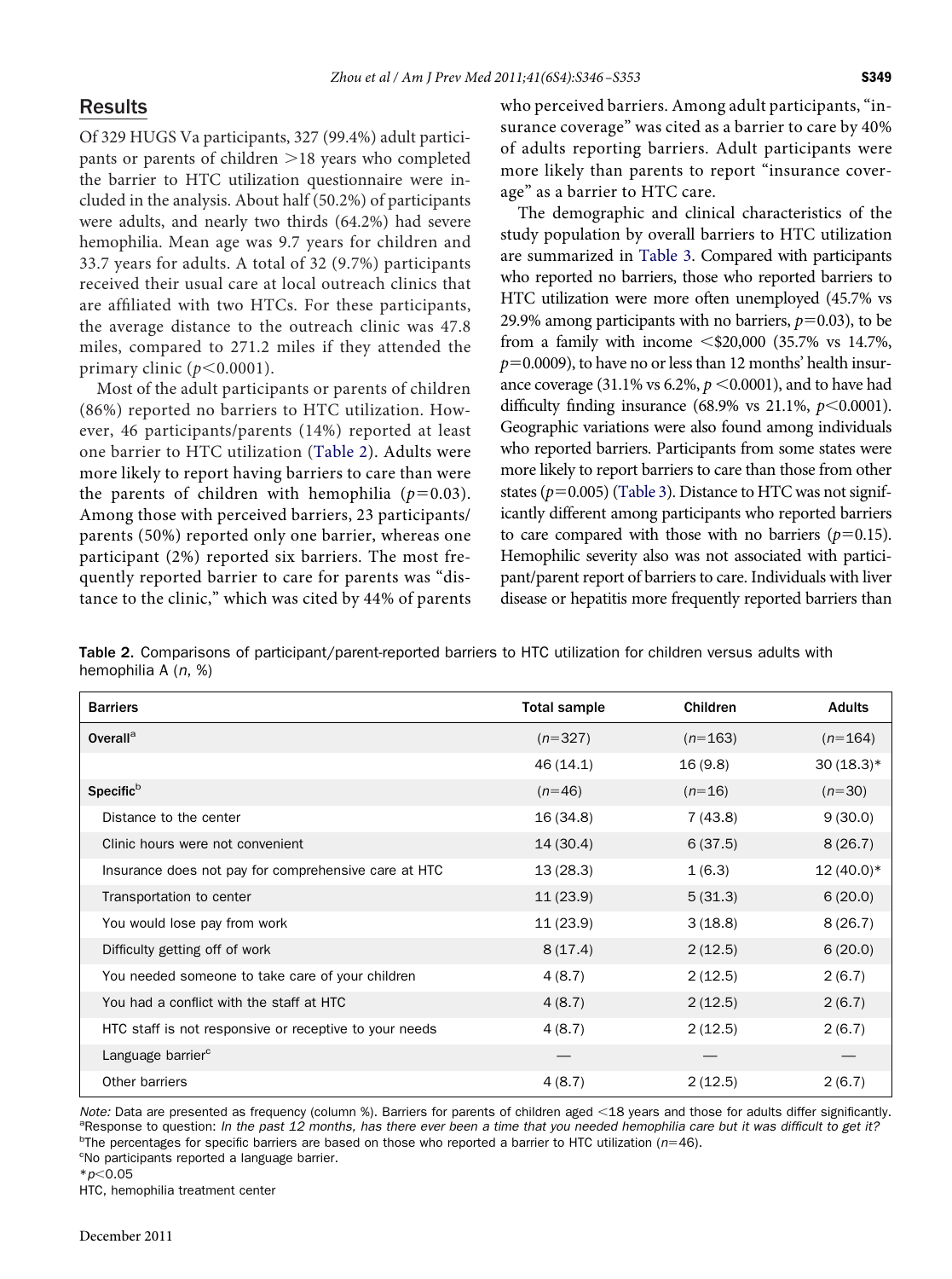# Results

Of 329 HUGS Va participants, 327 (99.4%) adult participants or parents of children  $>18$  years who completed the barrier to HTC utilization questionnaire were included in the analysis. About half (50.2%) of participants were adults, and nearly two thirds (64.2%) had severe hemophilia. Mean age was 9.7 years for children and 33.7 years for adults. A total of 32 (9.7%) participants received their usual care at local outreach clinics that are affıliated with two HTCs. For these participants, the average distance to the outreach clinic was 47.8 miles, compared to 271.2 miles if they attended the primary clinic  $(p<0.0001)$ .

Most of the adult participants or parents of children (86%) reported no barriers to HTC utilization. However, 46 participants/parents (14%) reported at least one barrier to HTC utilization [\(Table 2\)](#page-3-0). Adults were more likely to report having barriers to care than were the parents of children with hemophilia  $(p=0.03)$ . Among those with perceived barriers, 23 participants/ parents (50%) reported only one barrier, whereas one participant (2%) reported six barriers. The most frequently reported barrier to care for parents was "distance to the clinic," which was cited by 44% of parents who perceived barriers. Among adult participants, "insurance coverage" was cited as a barrier to care by 40% of adults reporting barriers. Adult participants were more likely than parents to report "insurance coverage" as a barrier to HTC care.

The demographic and clinical characteristics of the study population by overall barriers to HTC utilization are summarized in [Table 3.](#page-4-0) Compared with participants who reported no barriers, those who reported barriers to HTC utilization were more often unemployed (45.7% vs 29.9% among participants with no barriers,  $p$ =0.03), to be from a family with income  $\leq$ \$20,000 (35.7% vs 14.7%,  $p$ =0.0009), to have no or less than 12 months' health insurance coverage (31.1% vs 6.2%,  $p < 0.0001$ ), and to have had difficulty finding insurance  $(68.9\% \text{ vs } 21.1\%, p<0.0001)$ . Geographic variations were also found among individuals who reported barriers. Participants from some states were more likely to report barriers to care than those from other states  $(p=0.005)$  [\(Table 3\)](#page-4-0). Distance to HTC was not significantly different among participants who reported barriers to care compared with those with no barriers  $(p=0.15)$ . Hemophilic severity also was not associated with participant/parent report of barriers to care. Individuals with liver disease or hepatitis more frequently reported barriers than

<span id="page-3-0"></span>Table 2. Comparisons of participant/parent-reported barriers to HTC utilization for children versus adults with hemophilia A (*n*, %)

| <b>Barriers</b>                                        | <b>Total sample</b> | Children  | <b>Adults</b> |
|--------------------------------------------------------|---------------------|-----------|---------------|
| Overall <sup>a</sup>                                   | $(n=327)$           | $(n=163)$ | $(n=164)$     |
|                                                        | 46 (14.1)           | 16(9.8)   | $30(18.3)*$   |
| Specific <sup>b</sup>                                  | $(n=46)$            | $(n=16)$  | $(n=30)$      |
| Distance to the center                                 | 16(34.8)            | 7(43.8)   | 9(30.0)       |
| Clinic hours were not convenient                       | 14(30.4)            | 6(37.5)   | 8(26.7)       |
| Insurance does not pay for comprehensive care at HTC   | 13(28.3)            | 1(6.3)    | $12(40.0)*$   |
| Transportation to center                               | 11(23.9)            | 5(31.3)   | 6(20.0)       |
| You would lose pay from work                           | 11(23.9)            | 3(18.8)   | 8(26.7)       |
| Difficulty getting off of work                         | 8(17.4)             | 2(12.5)   | 6(20.0)       |
| You needed someone to take care of your children       | 4(8.7)              | 2(12.5)   | 2(6.7)        |
| You had a conflict with the staff at HTC               | 4(8.7)              | 2(12.5)   | 2(6.7)        |
| HTC staff is not responsive or receptive to your needs | 4(8.7)              | 2(12.5)   | 2(6.7)        |
| Language barrier <sup>c</sup>                          |                     |           |               |
| Other barriers                                         | 4(8.7)              | 2(12.5)   | 2(6.7)        |

*Note:* Data are presented as frequency (column %). Barriers for parents of children aged <18 years and those for adults differ significantly. Response to question: *In the past 12 months, has there ever been a time that you needed hemophilia care but it was difficult to get it?* <sup>b</sup> <sup>b</sup>The percentages for specific barriers are based on those who reported a barrier to HTC utilization (*n*=46).<br><sup>c</sup>No participants reported a language barrier.

<sup>c</sup>No participants reported a language barrier.

\**p*<0.05

HTC, hemophilia treatment center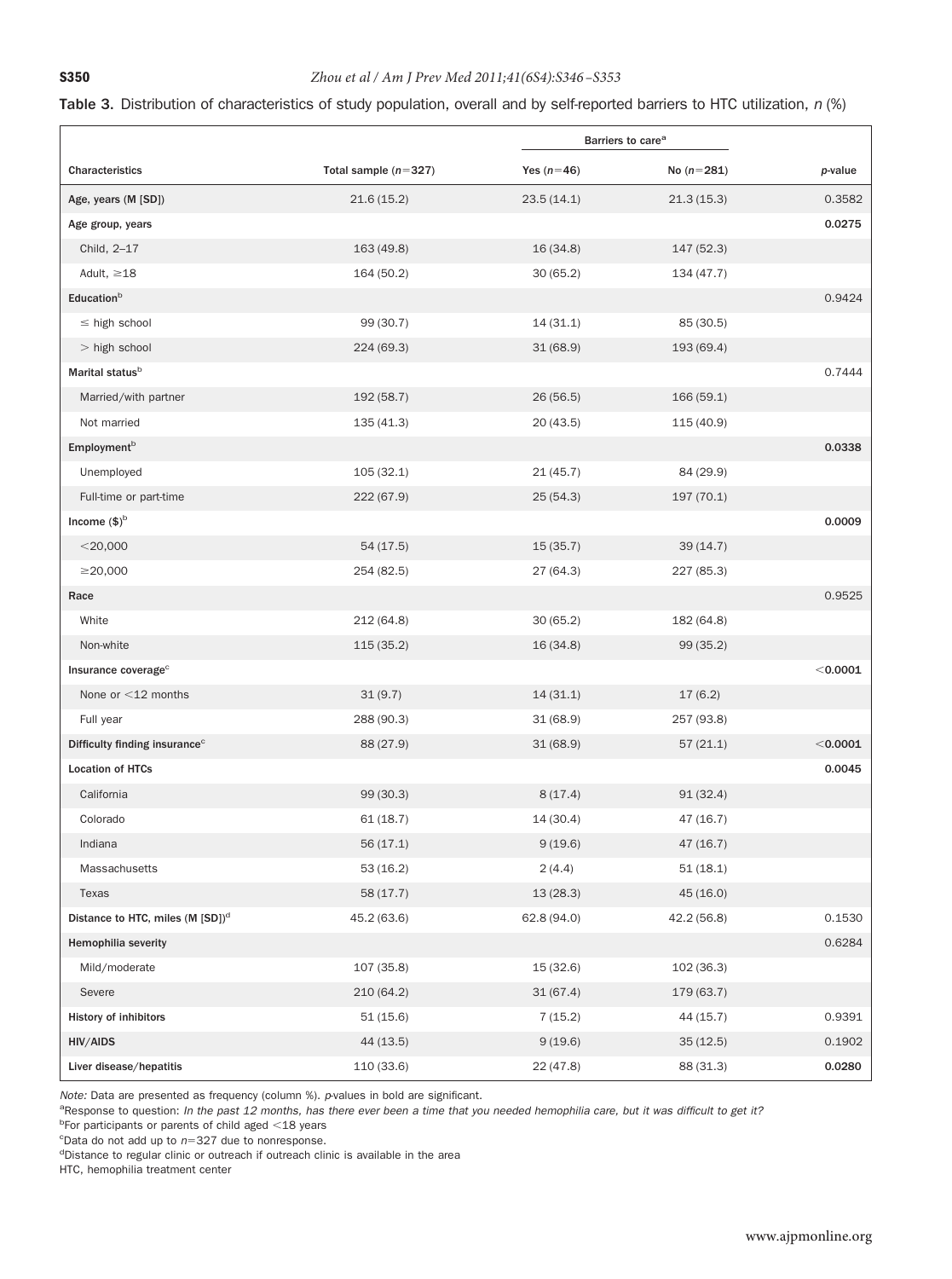## <span id="page-4-0"></span>**S350** *Zhou et al / Am J Prev Med 2011;41(6S4):S346 –S353*

#### Table 3. Distribution of characteristics of study population, overall and by self-reported barriers to HTC utilization, *n* (%)

|                                              |                        | Barriers to care <sup>a</sup> |              |            |
|----------------------------------------------|------------------------|-------------------------------|--------------|------------|
| Characteristics                              | Total sample $(n=327)$ | Yes $(n=46)$                  | No $(n=281)$ | p-value    |
| Age, years (M [SD])                          | 21.6(15.2)             | 23.5(14.1)                    | 21.3(15.3)   | 0.3582     |
| Age group, years                             |                        |                               |              | 0.0275     |
| Child, 2-17                                  | 163(49.8)              | 16(34.8)                      | 147 (52.3)   |            |
| Adult, $\geq 18$                             | 164 (50.2)             | 30(65.2)                      | 134(47.7)    |            |
| Educationb                                   |                        |                               |              | 0.9424     |
| $\leq$ high school                           | 99 (30.7)              | 14(31.1)                      | 85 (30.5)    |            |
| $>$ high school                              | 224(69.3)              | 31(68.9)                      | 193 (69.4)   |            |
| Marital status <sup>b</sup>                  |                        |                               |              | 0.7444     |
| Married/with partner                         | 192 (58.7)             | 26(56.5)                      | 166(59.1)    |            |
| Not married                                  | 135(41.3)              | 20(43.5)                      | 115(40.9)    |            |
| Employment <sup>b</sup>                      |                        |                               |              | 0.0338     |
| Unemployed                                   | 105(32.1)              | 21(45.7)                      | 84 (29.9)    |            |
| Full-time or part-time                       | 222(67.9)              | 25(54.3)                      | 197(70.1)    |            |
| Income $($)^b$                               |                        |                               |              | 0.0009     |
| $<$ 20,000                                   | 54(17.5)               | 15(35.7)                      | 39(14.7)     |            |
| $\geq$ 20,000                                | 254 (82.5)             | 27 (64.3)                     | 227 (85.3)   |            |
| Race                                         |                        |                               |              | 0.9525     |
| White                                        | 212 (64.8)             | 30(65.2)                      | 182 (64.8)   |            |
| Non-white                                    | 115(35.2)              | 16(34.8)                      | 99(35.2)     |            |
| Insurance coverage <sup>c</sup>              |                        |                               |              | $<$ 0.0001 |
| None or $<$ 12 months                        | 31(9.7)                | 14(31.1)                      | 17(6.2)      |            |
| Full year                                    | 288 (90.3)             | 31(68.9)                      | 257 (93.8)   |            |
| Difficulty finding insurance <sup>c</sup>    | 88 (27.9)              | 31(68.9)                      | 57(21.1)     | $<$ 0.0001 |
| <b>Location of HTCs</b>                      |                        |                               |              | 0.0045     |
| California                                   | 99 (30.3)              | 8(17.4)                       | 91(32.4)     |            |
| Colorado                                     | 61(18.7)               | 14(30.4)                      | 47 (16.7)    |            |
| Indiana                                      | 56(17.1)               | 9(19.6)                       | 47(16.7)     |            |
| Massachusetts                                | 53(16.2)               | 2(4.4)                        | 51(18.1)     |            |
| Texas                                        | 58 (17.7)              | 13(28.3)                      | 45(16.0)     |            |
| Distance to HTC, miles (M [SD]) <sup>d</sup> | 45.2 (63.6)            | 62.8(94.0)                    | 42.2(56.8)   | 0.1530     |
| <b>Hemophilia severity</b>                   |                        |                               |              | 0.6284     |
| Mild/moderate                                | 107 (35.8)             | 15(32.6)                      | 102(36.3)    |            |
| Severe                                       | 210 (64.2)             | 31(67.4)                      | 179 (63.7)   |            |
| History of inhibitors                        | 51(15.6)               | 7(15.2)                       | 44 (15.7)    | 0.9391     |
| HIV/AIDS                                     | 44 (13.5)              | 9(19.6)                       | 35(12.5)     | 0.1902     |
| Liver disease/hepatitis                      | 110 (33.6)             | 22(47.8)                      | 88 (31.3)    | 0.0280     |

*Note:* Data are presented as frequency (column %). *p*-values in bold are significant.

a<br>Response to question: *In the past 12 months, has there ever been a time that you needed hemophilia care, but it was difficult to get it?* 

<sup>b</sup>For participants or parents of child aged <18 years

c Data do not add up to *n*-327 due to nonresponse.

<sup>d</sup>Distance to regular clinic or outreach if outreach clinic is available in the area

HTC, hemophilia treatment center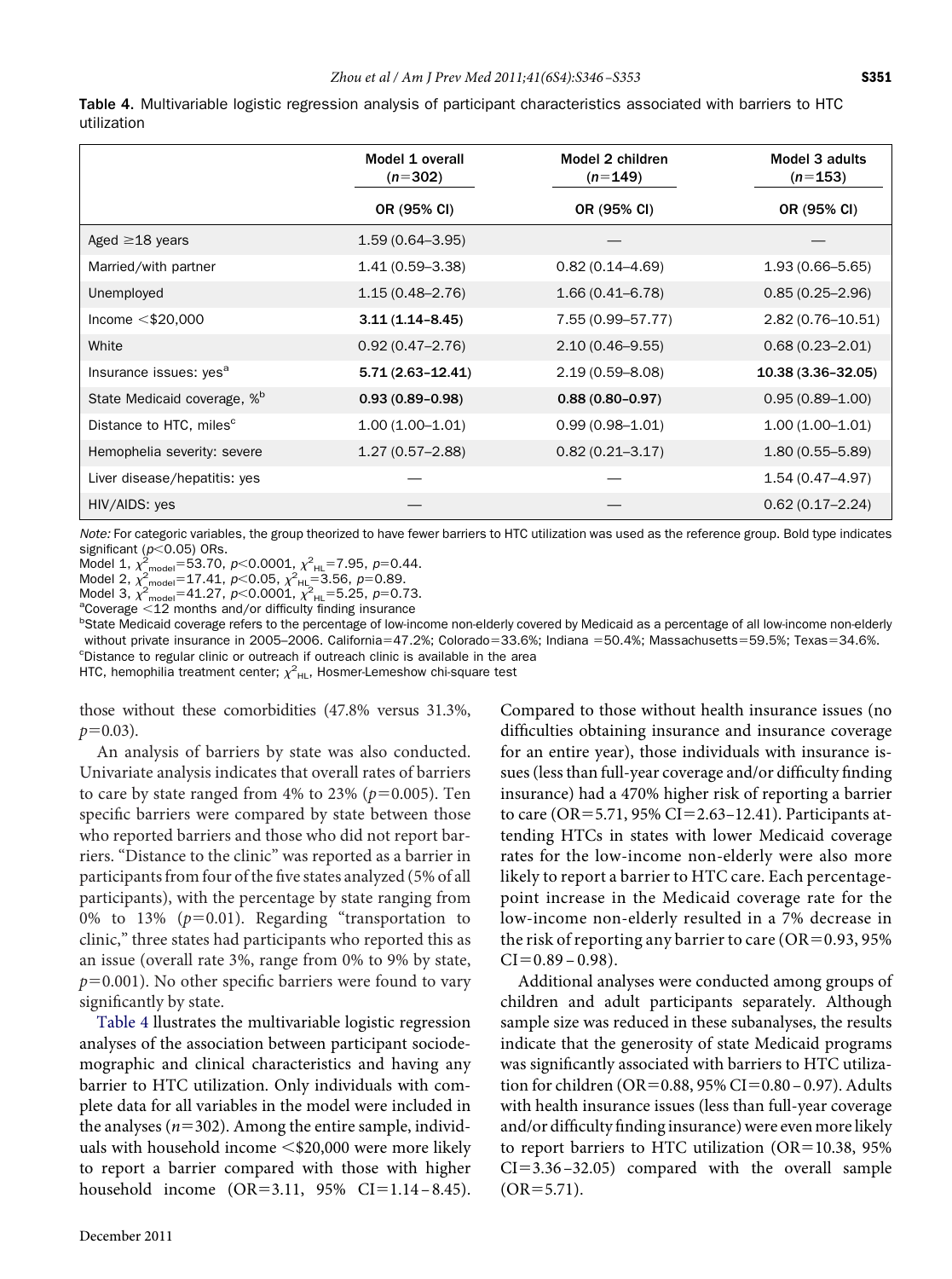| ٠<br>$\sim$<br>×<br>۰. |
|------------------------|
|                        |

<span id="page-5-0"></span>Table 4. Multivariable logistic regression analysis of participant characteristics associated with barriers to HTC utilization

|                                         | Model 1 overall<br>$(n=302)$ | Model 2 children<br>$(n=149)$ | Model 3 adults<br>$(n=153)$ |
|-----------------------------------------|------------------------------|-------------------------------|-----------------------------|
|                                         | OR (95% CI)                  | OR (95% CI)                   | OR (95% CI)                 |
| Aged $\geq$ 18 years                    | $1.59(0.64 - 3.95)$          |                               |                             |
| Married/with partner                    | $1.41(0.59 - 3.38)$          | $0.82(0.14 - 4.69)$           | $1.93(0.66 - 5.65)$         |
| Unemployed                              | $1.15(0.48 - 2.76)$          | $1.66(0.41 - 6.78)$           | $0.85(0.25 - 2.96)$         |
| Income $<$ \$20,000                     | $3.11(1.14 - 8.45)$          | 7.55 (0.99-57.77)             | $2.82(0.76 - 10.51)$        |
| White                                   | $0.92(0.47 - 2.76)$          | $2.10(0.46 - 9.55)$           | $0.68(0.23 - 2.01)$         |
| Insurance issues: yes <sup>a</sup>      | $5.71(2.63 - 12.41)$         | $2.19(0.59 - 8.08)$           | 10.38 (3.36-32.05)          |
| State Medicaid coverage, % <sup>b</sup> | $0.93(0.89 - 0.98)$          | $0.88(0.80 - 0.97)$           | $0.95(0.89 - 1.00)$         |
| Distance to HTC, miles <sup>c</sup>     | $1.00(1.00-1.01)$            | $0.99(0.98 - 1.01)$           | $1.00(1.00 - 1.01)$         |
| Hemophelia severity: severe             | $1.27(0.57-2.88)$            | $0.82(0.21 - 3.17)$           | $1.80(0.55 - 5.89)$         |
| Liver disease/hepatitis: yes            |                              |                               | 1.54 (0.47-4.97)            |
| HIV/AIDS: yes                           |                              |                               | $0.62(0.17-2.24)$           |

*Note:* For categoric variables, the group theorized to have fewer barriers to HTC utilization was used as the reference group. Bold type indicates significant ( $p$ <0.05) ORs.

Model 1,  $\chi^2_{\text{model}} = 53.70$ ,  $p < 0.0001$ ,  $\chi^2_{\text{HL}} = 7.95$ ,  $p = 0.44$ .<br>Model 2,  $\chi^2_{\text{model}} = 17.41$ ,  $p < 0.05$ ,  $\chi^2_{\text{HL}} = 3.56$ ,  $p = 0.89$ .<br>Model 3,  $\chi^2_{\text{model}} = 41.27$ ,  $p < 0.0001$ ,  $\chi^2_{\text{HL}} = 5.25$ ,  $p = 0.73$ .

<sup>a</sup>Coverage <12 months and/or difficulty finding insurance<br><sup>b</sup>State Medicaid coverage refers to the percentage of low in <sup>b</sup>State Medicaid coverage refers to the percentage of low-income non-elderly covered by Medicaid as a percentage of all low-income non-elderly without private insurance in 2005–2006. California=47.2%; Colorado=33.6%; Indiana =50.4%; Massachusetts=59.5%; Texas=34.6%.<br>Clistance to regular clinic or outraach if outraach clinic is available in the area <sup>c</sup>Distance to regular clinic or outreach if outreach clinic is available in the area

HTC, hemophilia treatment center;  $\chi^2_{\rm \,HL}$ , Hosmer-Lemeshow chi-square test

those without these comorbidities (47.8% versus 31.3%,  $p=0.03$ ).

An analysis of barriers by state was also conducted. Univariate analysis indicates that overall rates of barriers to care by state ranged from  $4\%$  to  $23\%$  ( $p=0.005$ ). Ten specifıc barriers were compared by state between those who reported barriers and those who did not report barriers. "Distance to the clinic" was reported as a barrier in participants from four of the fıve states analyzed (5% of all participants), with the percentage by state ranging from 0% to 13%  $(p=0.01)$ . Regarding "transportation to clinic," three states had participants who reported this as an issue (overall rate 3%, range from 0% to 9% by state,  $p$ =0.001). No other specific barriers were found to vary significantly by state.

[Table 4](#page-5-0) llustrates the multivariable logistic regression analyses of the association between participant sociodemographic and clinical characteristics and having any barrier to HTC utilization. Only individuals with complete data for all variables in the model were included in the analyses  $(n=302)$ . Among the entire sample, individuals with household income  $\leq$ \$20,000 were more likely to report a barrier compared with those with higher household income (OR=3.11, 95% CI=1.14-8.45).

Compared to those without health insurance issues (no diffıculties obtaining insurance and insurance coverage for an entire year), those individuals with insurance issues (less than full-year coverage and/or diffıculty fınding insurance) had a 470% higher risk of reporting a barrier to care (OR=5.71, 95% CI=2.63-12.41). Participants attending HTCs in states with lower Medicaid coverage rates for the low-income non-elderly were also more likely to report a barrier to HTC care. Each percentagepoint increase in the Medicaid coverage rate for the low-income non-elderly resulted in a 7% decrease in the risk of reporting any barrier to care ( $OR = 0.93, 95\%$  $CI = 0.89 - 0.98$ ).

Additional analyses were conducted among groups of children and adult participants separately. Although sample size was reduced in these subanalyses, the results indicate that the generosity of state Medicaid programs was signifıcantly associated with barriers to HTC utilization for children (OR=0.88, 95% CI=0.80-0.97). Adults with health insurance issues (less than full-year coverage and/or diffıculty fınding insurance) were even more likely to report barriers to HTC utilization (OR=10.38, 95%  $CI = 3.36 - 32.05$  compared with the overall sample  $(OR = 5.71)$ .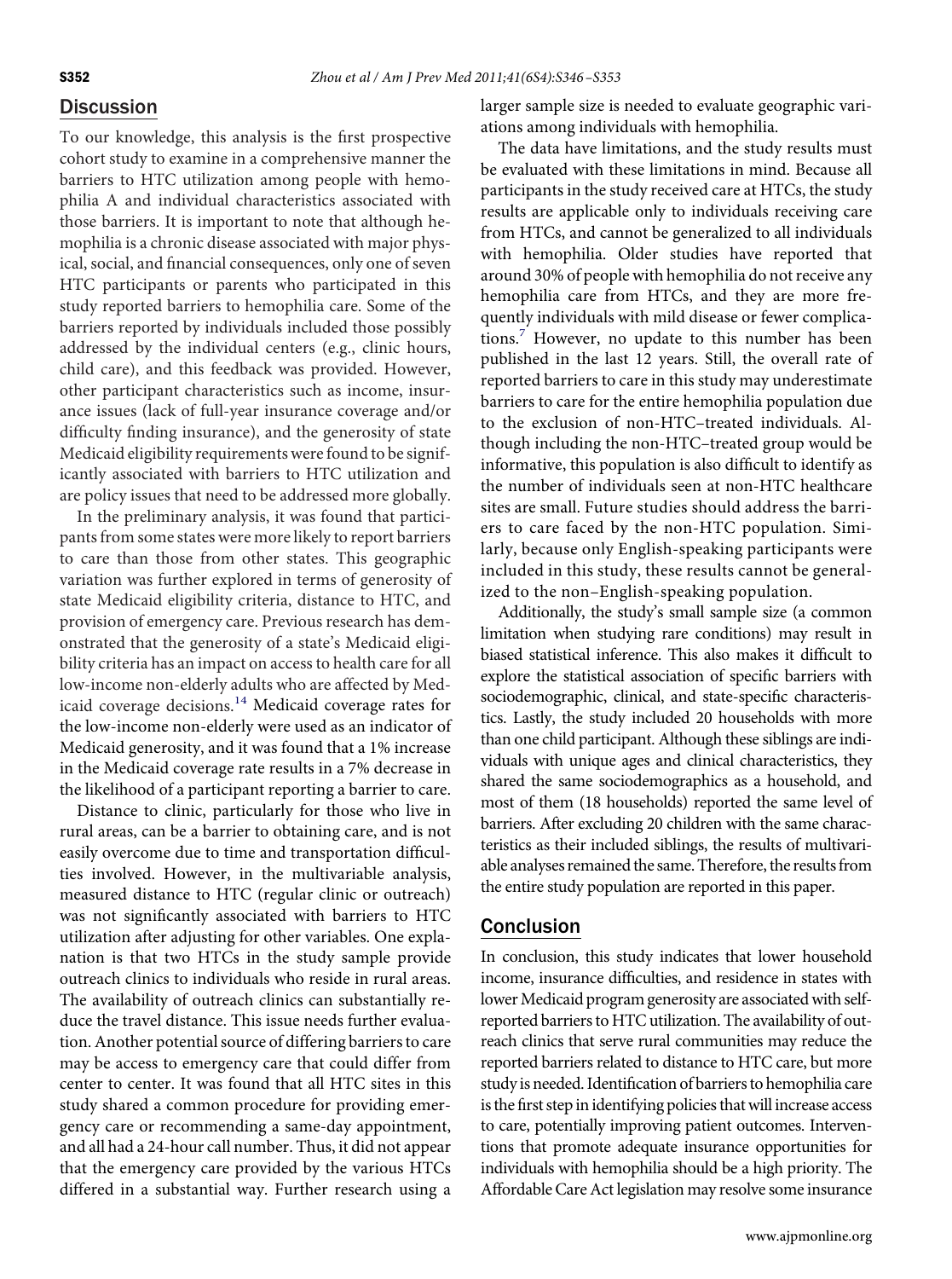## **Discussion**

To our knowledge, this analysis is the fırst prospective cohort study to examine in a comprehensive manner the barriers to HTC utilization among people with hemophilia A and individual characteristics associated with those barriers. It is important to note that although hemophilia is a chronic disease associated with major physical, social, and fınancial consequences, only one of seven HTC participants or parents who participated in this study reported barriers to hemophilia care. Some of the barriers reported by individuals included those possibly addressed by the individual centers (e.g., clinic hours, child care), and this feedback was provided. However, other participant characteristics such as income, insurance issues (lack of full-year insurance coverage and/or diffıculty fınding insurance), and the generosity of state Medicaid eligibility requirements were found to be significantly associated with barriers to HTC utilization and are policy issues that need to be addressed more globally.

In the preliminary analysis, it was found that participants from some states were more likely to report barriers to care than those from other states. This geographic variation was further explored in terms of generosity of state Medicaid eligibility criteria, distance to HTC, and provision of emergency care. Previous research has demonstrated that the generosity of a state's Medicaid eligibility criteria has an impact on access to health care for all low-income non-elderly adults who are affected by Med-icaid coverage decisions.<sup>[14](#page-7-7)</sup> Medicaid coverage rates for the low-income non-elderly were used as an indicator of Medicaid generosity, and it was found that a 1% increase in the Medicaid coverage rate results in a 7% decrease in the likelihood of a participant reporting a barrier to care.

Distance to clinic, particularly for those who live in rural areas, can be a barrier to obtaining care, and is not easily overcome due to time and transportation diffıculties involved. However, in the multivariable analysis, measured distance to HTC (regular clinic or outreach) was not signifıcantly associated with barriers to HTC utilization after adjusting for other variables. One explanation is that two HTCs in the study sample provide outreach clinics to individuals who reside in rural areas. The availability of outreach clinics can substantially reduce the travel distance. This issue needs further evaluation. Another potential source of differing barriers to care may be access to emergency care that could differ from center to center. It was found that all HTC sites in this study shared a common procedure for providing emergency care or recommending a same-day appointment, and all had a 24-hour call number. Thus, it did not appear that the emergency care provided by the various HTCs differed in a substantial way. Further research using a

larger sample size is needed to evaluate geographic variations among individuals with hemophilia.

The data have limitations, and the study results must be evaluated with these limitations in mind. Because all participants in the study received care at HTCs, the study results are applicable only to individuals receiving care from HTCs, and cannot be generalized to all individuals with hemophilia. Older studies have reported that around 30% of people with hemophilia do not receive any hemophilia care from HTCs, and they are more frequently individuals with mild disease or fewer complications.<sup>7</sup> However, no update to this number has been published in the last 12 years. Still, the overall rate of reported barriers to care in this study may underestimate barriers to care for the entire hemophilia population due to the exclusion of non-HTC–treated individuals. Although including the non-HTC–treated group would be informative, this population is also diffıcult to identify as the number of individuals seen at non-HTC healthcare sites are small. Future studies should address the barriers to care faced by the non-HTC population. Similarly, because only English-speaking participants were included in this study, these results cannot be generalized to the non–English-speaking population.

Additionally, the study's small sample size (a common limitation when studying rare conditions) may result in biased statistical inference. This also makes it diffıcult to explore the statistical association of specifıc barriers with sociodemographic, clinical, and state-specifıc characteristics. Lastly, the study included 20 households with more than one child participant. Although these siblings are individuals with unique ages and clinical characteristics, they shared the same sociodemographics as a household, and most of them (18 households) reported the same level of barriers. After excluding 20 children with the same characteristics as their included siblings, the results of multivariable analyses remained the same. Therefore, the results from the entire study population are reported in this paper.

## Conclusion

In conclusion, this study indicates that lower household income, insurance diffıculties, and residence in states with lower Medicaid program generosity are associated with selfreported barriers to HTC utilization. The availability of outreach clinics that serve rural communities may reduce the reported barriers related to distance to HTC care, but more study is needed. Identifıcation of barriers to hemophilia care is the first step in identifying policies that will increase access to care, potentially improving patient outcomes. Interventions that promote adequate insurance opportunities for individuals with hemophilia should be a high priority. The Affordable Care Act legislation may resolve some insurance